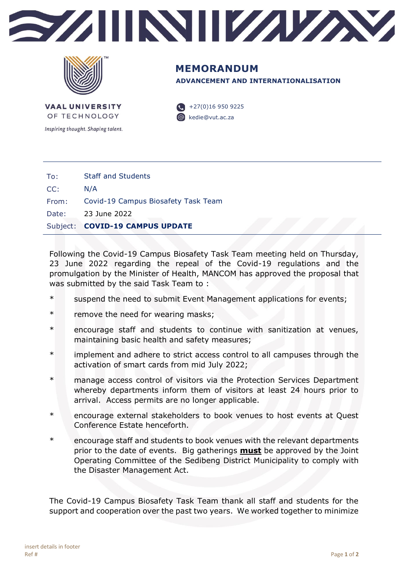



**ADVANCEMENT AND INTERNATIONALISATION MEMORANDUM**

**VAAL UNIVERSITY** OF TECHNOLOGY

Inspiring thought. Shaping talent.

 $+27(0)169509225$ @ kedie@vut.ac.za

|       | Date: 23 June 2022<br>Subject: COVID-19 CAMPUS UPDATE |
|-------|-------------------------------------------------------|
|       |                                                       |
| From: | Covid-19 Campus Biosafety Task Team                   |
| CC:   | N/A                                                   |
| To:   | <b>Staff and Students</b>                             |

Following the Covid-19 Campus Biosafety Task Team meeting held on Thursday, 23 June 2022 regarding the repeal of the Covid-19 regulations and the promulgation by the Minister of Health, MANCOM has approved the proposal that was submitted by the said Task Team to :

- \* suspend the need to submit Event Management applications for events;
- \* remove the need for wearing masks;
- \* encourage staff and students to continue with sanitization at venues, maintaining basic health and safety measures;
- \* implement and adhere to strict access control to all campuses through the activation of smart cards from mid July 2022;
- \* manage access control of visitors via the Protection Services Department whereby departments inform them of visitors at least 24 hours prior to arrival. Access permits are no longer applicable.
- \* encourage external stakeholders to book venues to host events at Quest Conference Estate henceforth.
- \* encourage staff and students to book venues with the relevant departments prior to the date of events. Big gatherings **must** be approved by the Joint Operating Committee of the Sedibeng District Municipality to comply with the Disaster Management Act.

The Covid-19 Campus Biosafety Task Team thank all staff and students for the support and cooperation over the past two years. We worked together to minimize